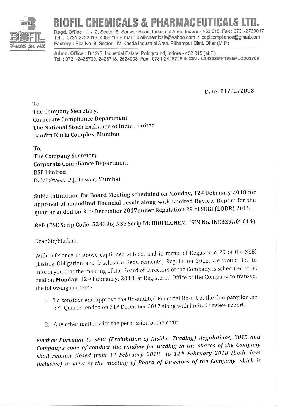

## CHEMICALS & PHARMACEUTICALS

Regd. Office: 11/12, Sector-E, Sanwer Road, Industrial Area, Indore - 452 015. Fax: 0731-2723017 Iel. : 0731-2723016, 4066216 E-mail : biofilchemicals@yahoo.com / bcplcompliance@gmail.com Factory : Plot No. 8, Sector - IV, Kheda Industrial Area, Pithampur Distt. Dhar (M.P.)  $\overline{\phantom{0}}$ 

Admn. Office : B-12/B, Industrial Estate, Pologround, Indore - 452 015 (M.P.) Tel.: 0731-2426700, 2426718, 2524003, Fax: 0731-2426726 CIN: L24233MP1985PLC002709

Date: 01/02/2018

To, The Company Secretary, Corporate Compliance Department The National Stock Exchange of India Limited Bandra Kurla Complex, Mumbai

To, The Company Secretary Corporate Compliance Department BSE Limited Dalal Street, P.J. Tower, Mumbai

Subj.: Intimation for Board Meeting scheduled on Monday, 12<sup>th</sup> February 2018 for approval of unaudited financial result along with Limited Review Report for the quarter ended on 31st December 2017under Regulation 29 of SEBI (LODR) 2015

Ref- (BSE Scrip Code: 524396; NSE Scrip Id: BIOFILCHEM; ISIN No. INE829A01014)

Dear Sir/Madam,

With reference to above captioned subject and in terms of Regulation 29 of the SEBI (Listing Obligation and Disclosure Requirements) Regulation 2015, we would like to inform you that the meeting of the Board of Directors of the Company is scheduled to be held on Monday, 12<sup>th</sup> February, 2018, at Registered Office of the Company to transact the following matters:-

- 1. To consider and approve the Un-audited Financial Result ofthe Company for the 3rd Quarter ended on 31st December 2017 along with limited review report.
- 2. Any other matter with the permission of the chair.

Further Pursuant to SEBI (Prohibition of Insider Trading) Regulations, 2015 and Company's code of conduct the window for trading in the shares of the Company shall remain closed from 1st February 2018 to 14th February 2018 (both days inclusive) in view of the meeting of Board of Directors of the Company which is